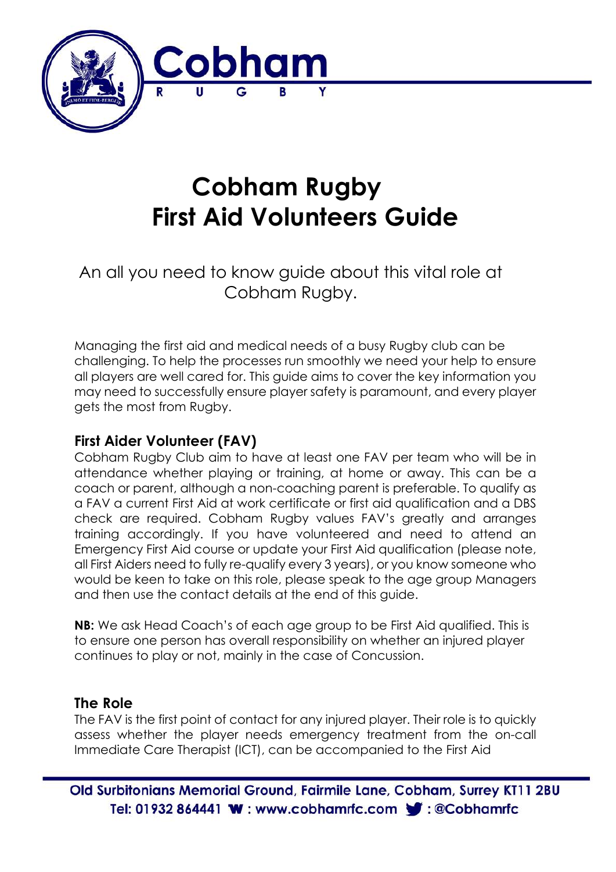

# **Cobham Rugby First Aid Volunteers Guide**

An all you need to know guide about this vital role at Cobham Rugby.

Managing the first aid and medical needs of a busy Rugby club can be challenging. To help the processes run smoothly we need your help to ensure all players are well cared for. This guide aims to cover the key information you may need to successfully ensure player safety is paramount, and every player gets the most from Rugby.

## **First Aider Volunteer (FAV)**

Cobham Rugby Club aim to have at least one FAV per team who will be in attendance whether playing or training, at home or away. This can be a coach or parent, although a non-coaching parent is preferable. To qualify as a FAV a current First Aid at work certificate or first aid qualification and a DBS check are required. Cobham Rugby values FAV's greatly and arranges training accordingly. If you have volunteered and need to attend an Emergency First Aid course or update your First Aid qualification (please note, all First Aiders need to fully re-qualify every 3 years), or you know someone who would be keen to take on this role, please speak to the age group Managers and then use the contact details at the end of this guide.

**NB:** We ask Head Coach's of each age group to be First Aid qualified. This is to ensure one person has overall responsibility on whether an injured player continues to play or not, mainly in the case of Concussion.

## **The Role**

The FAV is the first point of contact for any injured player. Their role is to quickly assess whether the player needs emergency treatment from the on-call Immediate Care Therapist (ICT), can be accompanied to the First Aid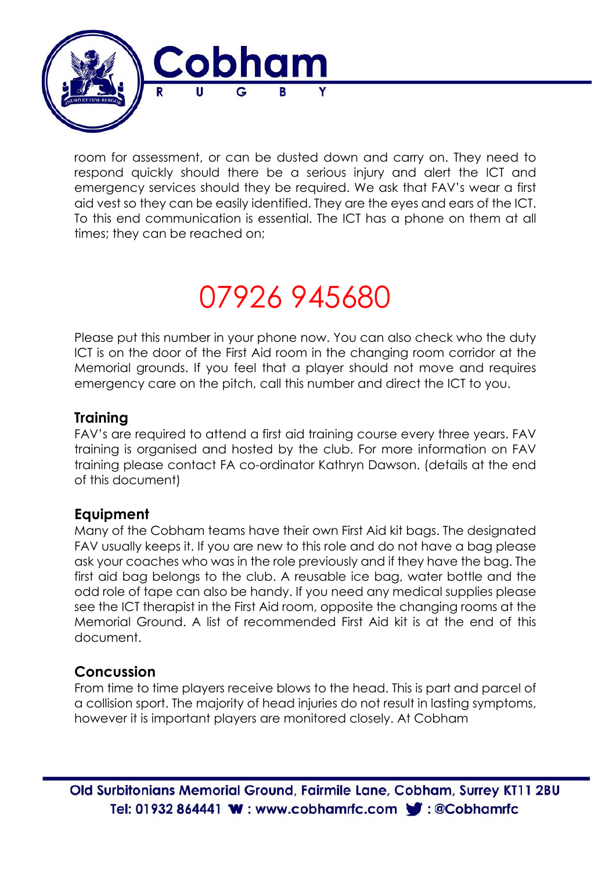

room for assessment, or can be dusted down and carry on. They need to respond quickly should there be a serious injury and alert the ICT and emergency services should they be required. We ask that FAV's wear a first aid vest so they can be easily identified. They are the eyes and ears of the ICT. To this end communication is essential. The ICT has a phone on them at all times; they can be reached on;

# 07926 945680

Please put this number in your phone now. You can also check who the duty ICT is on the door of the First Aid room in the changing room corridor at the Memorial grounds. If you feel that a player should not move and requires emergency care on the pitch, call this number and direct the ICT to you.

## **Training**

FAV's are required to attend a first aid training course every three years. FAV training is organised and hosted by the club. For more information on FAV training please contact FA co-ordinator Kathryn Dawson. (details at the end of this document)

### **Equipment**

Many of the Cobham teams have their own First Aid kit bags. The designated FAV usually keeps it. If you are new to this role and do not have a bag please ask your coaches who was in the role previously and if they have the bag. The first aid bag belongs to the club. A reusable ice bag, water bottle and the odd role of tape can also be handy. If you need any medical supplies please see the ICT therapist in the First Aid room, opposite the changing rooms at the Memorial Ground. A list of recommended First Aid kit is at the end of this document.

## **Concussion**

From time to time players receive blows to the head. This is part and parcel of a collision sport. The majority of head injuries do not result in lasting symptoms, however it is important players are monitored closely. At Cobham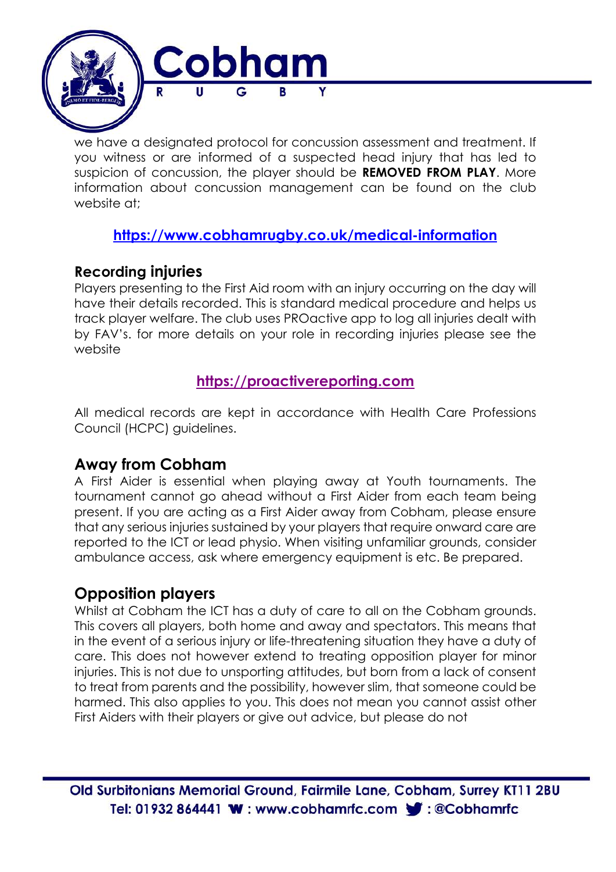

we have a designated protocol for concussion assessment and treatment. If you witness or are informed of a suspected head injury that has led to suspicion of concussion, the player should be **REMOVED FROM PLAY**. More information about concussion management can be found on the club website at:

## **https://www.cobhamrugby.co.uk/medical-information**

## **Recording injuries**

Players presenting to the First Aid room with an injury occurring on the day will have their details recorded. This is standard medical procedure and helps us track player welfare. The club uses PROactive app to log all injuries dealt with by FAV's. for more details on your role in recording injuries please see the website

## **https://proactivereporting.com**

All medical records are kept in accordance with Health Care Professions Council (HCPC) guidelines.

## **Away from Cobham**

 A First Aider is essential when playing away at Youth tournaments. The tournament cannot go ahead without a First Aider from each team being present. If you are acting as a First Aider away from Cobham, please ensure that any serious injuries sustained by your players that require onward care are reported to the ICT or lead physio. When visiting unfamiliar grounds, consider ambulance access, ask where emergency equipment is etc. Be prepared.

## **Opposition players**

Whilst at Cobham the ICT has a duty of care to all on the Cobham grounds. This covers all players, both home and away and spectators. This means that in the event of a serious injury or life-threatening situation they have a duty of care. This does not however extend to treating opposition player for minor injuries. This is not due to unsporting attitudes, but born from a lack of consent to treat from parents and the possibility, however slim, that someone could be harmed. This also applies to you. This does not mean you cannot assist other First Aiders with their players or give out advice, but please do not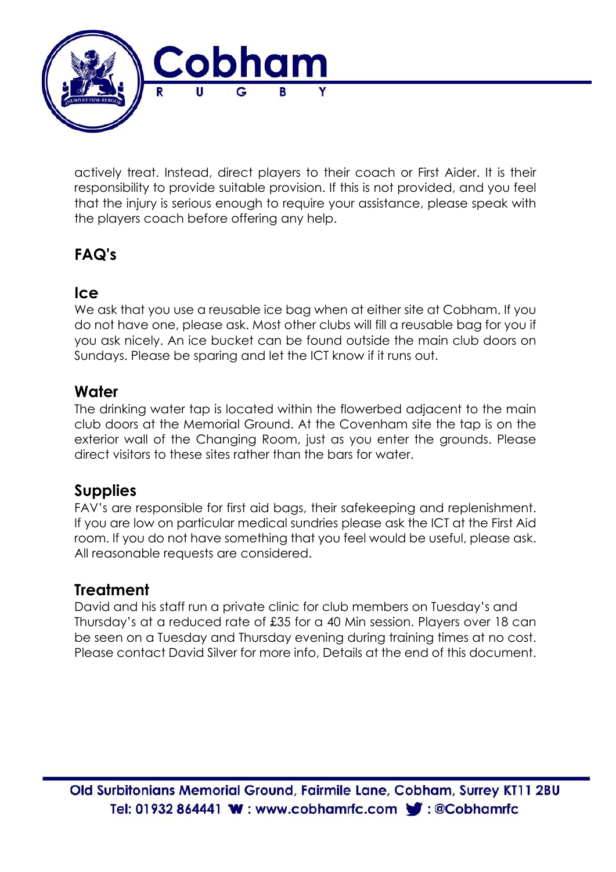

actively treat. Instead, direct players to their coach or First Aider. It is their responsibility to provide suitable provision. If this is not provided, and you feel that the injury is serious enough to require your assistance, please speak with the players coach before offering any help.

# **FAQ's**

## **Ice**

We ask that you use a reusable ice bag when at either site at Cobham. If you do not have one, please ask. Most other clubs will fill a reusable bag for you if you ask nicely. An ice bucket can be found outside the main club doors on Sundays. Please be sparing and let the ICT know if it runs out.

## **Water**

The drinking water tap is located within the flowerbed adjacent to the main club doors at the Memorial Ground. At the Covenham site the tap is on the exterior wall of the Changing Room, just as you enter the grounds. Please direct visitors to these sites rather than the bars for water.

## **Supplies**

FAV's are responsible for first aid bags, their safekeeping and replenishment. If you are low on particular medical sundries please ask the ICT at the First Aid room. If you do not have something that you feel would be useful, please ask. All reasonable requests are considered.

## **Treatment**

David and his staff run a private clinic for club members on Tuesday's and Thursday's at a reduced rate of £35 for a 40 Min session. Players over 18 can be seen on a Tuesday and Thursday evening during training times at no cost. Please contact David Silver for more info, Details at the end of this document.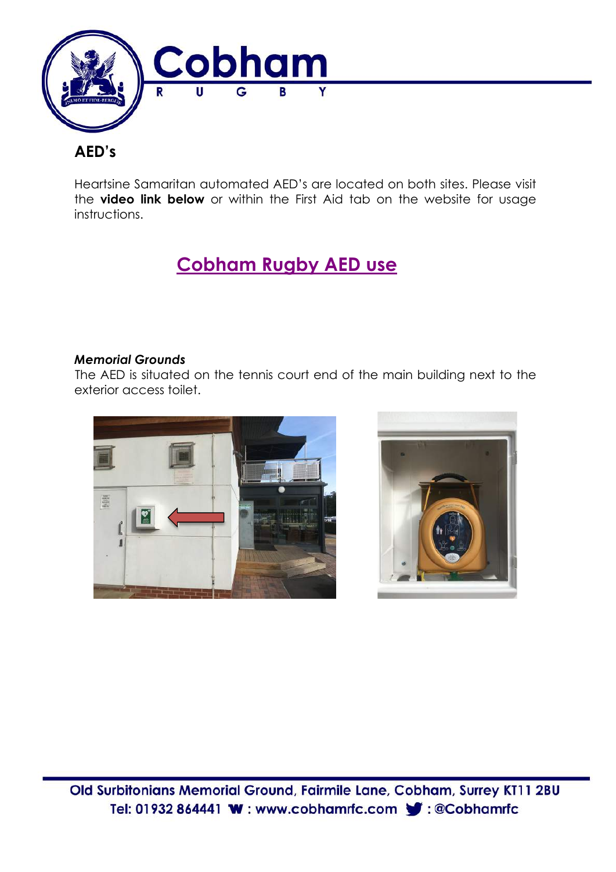

# **AED's**

Heartsine Samaritan automated AED's are located on both sites. Please visit the **video link below** or within the First Aid tab on the website for usage instructions.

# **Cobham Rugby AED use**

### *Memorial Grounds*

The AED is situated on the tennis court end of the main building next to the exterior access toilet.



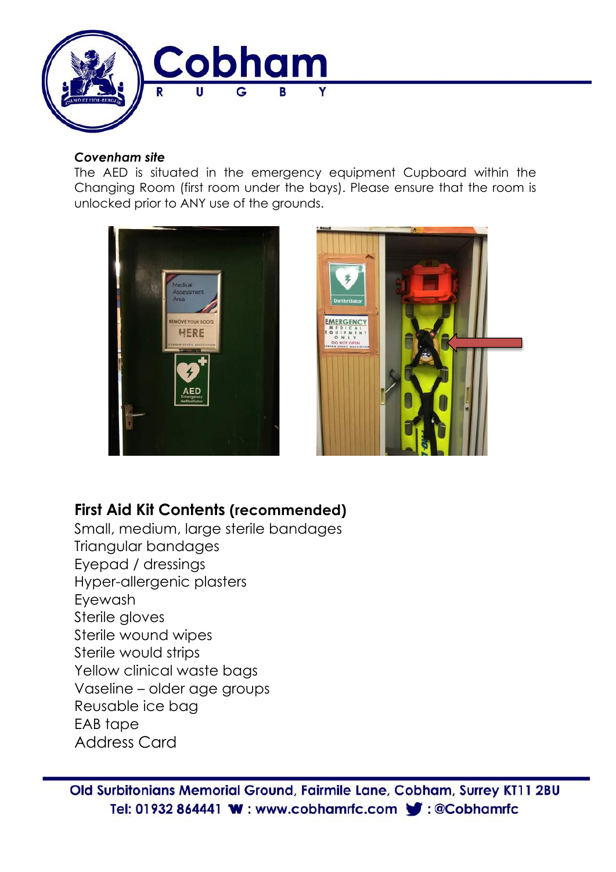

#### *Covenham site*

The AED is situated in the emergency equipment Cupboard within the Changing Room (first room under the bays). Please ensure that the room is unlocked prior to ANY use of the grounds.





## **First Aid Kit Contents (recommended)**

Small, medium, large sterile bandages Triangular bandages Eyepad / dressings Hyper-allergenic plasters Eyewash Sterile gloves Sterile wound wipes Sterile would strips Yellow clinical waste bags Vaseline – older age groups Reusable ice bag EAB tape Address Card

Old Surbitonians Memorial Ground, Fairmile Lane, Cobham, Surrey KT11 2BU Tel: 01932 864441 W: www.cobhamrfc.com C: @Cobhamrfc